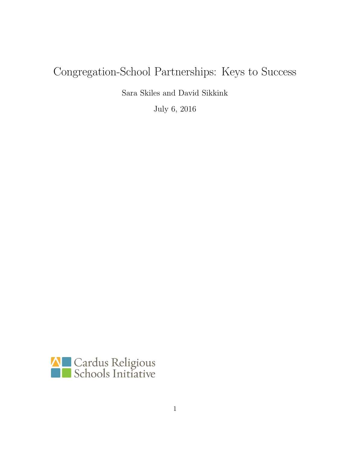# <span id="page-0-0"></span>Congregation-School Partnerships: Keys to Success

Sara Skiles and David Sikkink

July 6, 2016

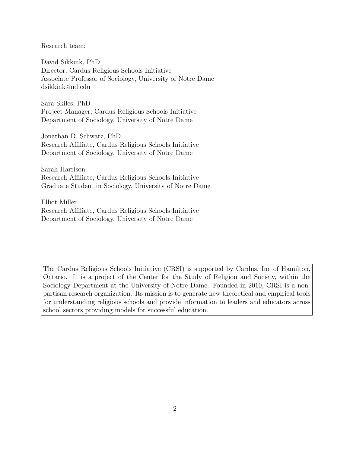Research team:

David Sikkink, PhD Director, Cardus Religious Schools Initiative Associate Professor of Sociology, University of Notre Dame [dsikkink@nd.edu](mailto:dsikkink@nd.edu)

Sara Skiles, PhD Project Manager, Cardus Religious Schools Initiative Department of Sociology, University of Notre Dame

Jonathan D. Schwarz, PhD Research Affiliate, Cardus Religious Schools Initiative Department of Sociology, University of Notre Dame

Sarah Harrison Research Affiliate, Cardus Religious Schools Initiative Graduate Student in Sociology, University of Notre Dame

Elliot Miller Research Affiliate, Cardus Religious Schools Initiative Department of Sociology, University of Notre Dame

The Cardus Religious Schools Initiative (CRSI) is supported by Cardus, Inc of Hamilton, Ontario. It is a project of the Center for the Study of Religion and Society, within the Sociology Department at the University of Notre Dame. Founded in 2010, CRSI is a nonpartisan research organization. Its mission is to generate new theoretical and empirical tools for understanding religious schools and provide information to leaders and educators across school sectors providing models for successful education.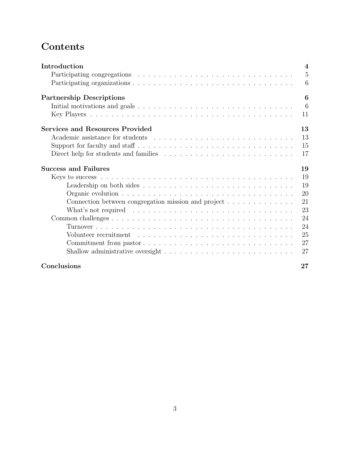# **Contents**

| Introduction                                                                                          | $\overline{4}$ |
|-------------------------------------------------------------------------------------------------------|----------------|
|                                                                                                       | 5              |
|                                                                                                       | 6              |
| <b>Partnership Descriptions</b>                                                                       | 6              |
| Initial motivations and goals $\ldots \ldots \ldots \ldots \ldots \ldots \ldots \ldots \ldots \ldots$ | 6              |
|                                                                                                       | 11             |
| <b>Services and Resources Provided</b>                                                                | 13             |
|                                                                                                       | 13             |
|                                                                                                       | 15             |
|                                                                                                       | 17             |
| <b>Success and Failures</b>                                                                           | 19             |
|                                                                                                       | 19             |
|                                                                                                       | 19             |
|                                                                                                       | 20             |
| Connection between congregation mission and project                                                   | 21             |
| What's not required $\ldots \ldots \ldots \ldots \ldots \ldots \ldots \ldots \ldots \ldots$           | 23             |
|                                                                                                       | 24             |
|                                                                                                       | 24             |
|                                                                                                       | 25             |
|                                                                                                       | 27             |
|                                                                                                       | 27             |
| Conclusions                                                                                           | $27\,$         |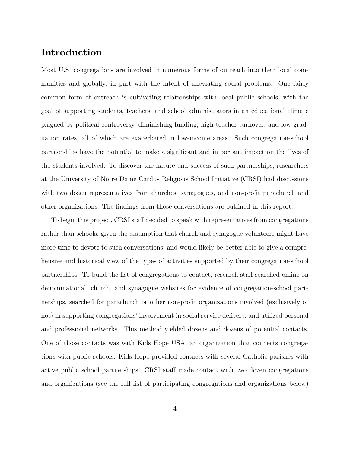### Introduction

Most U.S. congregations are involved in numerous forms of outreach into their local communities and globally, in part with the intent of alleviating social problems. One fairly common form of outreach is cultivating relationships with local public schools, with the goal of supporting students, teachers, and school administrators in an educational climate plagued by political controversy, diminishing funding, high teacher turnover, and low graduation rates, all of which are exacerbated in low-income areas. Such congregation-school partnerships have the potential to make a significant and important impact on the lives of the students involved. To discover the nature and success of such partnerships, researchers at the University of Notre Dame Cardus Religious School Initiative (CRSI) had discussions with two dozen representatives from churches, synagogues, and non-profit parachurch and other organizations. The findings from those conversations are outlined in this report.

To begin this project, CRSI staff decided to speak with representatives from congregations rather than schools, given the assumption that church and synagogue volunteers might have more time to devote to such conversations, and would likely be better able to give a comprehensive and historical view of the types of activities supported by their congregation-school partnerships. To build the list of congregations to contact, research staff searched online on denominational, church, and synagogue websites for evidence of congregation-school partnerships, searched for parachurch or other non-profit organizations involved (exclusively or not) in supporting congregations' involvement in social service delivery, and utilized personal and professional networks. This method yielded dozens and dozens of potential contacts. One of those contacts was with Kids Hope USA, an organization that connects congregations with public schools. Kids Hope provided contacts with several Catholic parishes with active public school partnerships. CRSI staff made contact with two dozen congregations and organizations (see the full list of participating congregations and organizations below)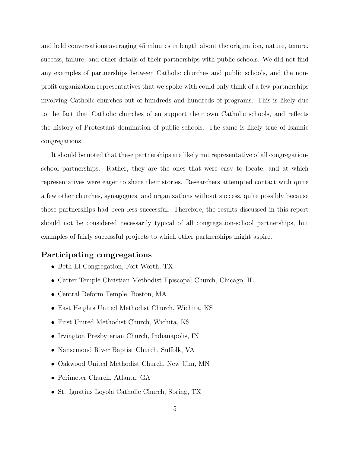and held conversations averaging 45 minutes in length about the origination, nature, tenure, success, failure, and other details of their partnerships with public schools. We did not find any examples of partnerships between Catholic churches and public schools, and the nonprofit organization representatives that we spoke with could only think of a few partnerships involving Catholic churches out of hundreds and hundreds of programs. This is likely due to the fact that Catholic churches often support their own Catholic schools, and reflects the history of Protestant domination of public schools. The same is likely true of Islamic congregations.

It should be noted that these partnerships are likely not representative of all congregationschool partnerships. Rather, they are the ones that were easy to locate, and at which representatives were eager to share their stories. Researchers attempted contact with quite a few other churches, synagogues, and organizations without success, quite possibly because those partnerships had been less successful. Therefore, the results discussed in this report should not be considered necessarily typical of all congregation-school partnerships, but examples of fairly successful projects to which other partnerships might aspire.

### <span id="page-4-0"></span>Participating congregations

- Beth-El Congregation, Fort Worth, TX
- Carter Temple Christian Methodist Episcopal Church, Chicago, IL
- Central Reform Temple, Boston, MA
- East Heights United Methodist Church, Wichita, KS
- First United Methodist Church, Wichita, KS
- Irvington Presbyterian Church, Indianapolis, IN
- Nansemond River Baptist Church, Suffolk, VA
- Oakwood United Methodist Church, New Ulm, MN
- Perimeter Church, Atlanta, GA
- St. Ignatius Loyola Catholic Church, Spring, TX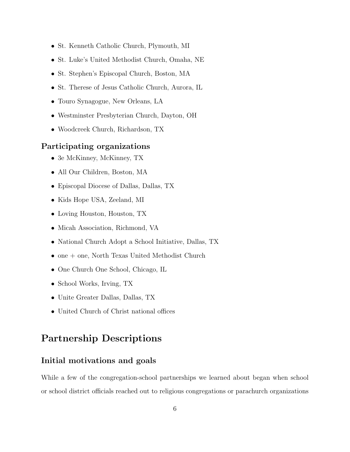- St. Kenneth Catholic Church, Plymouth, MI
- St. Luke's United Methodist Church, Omaha, NE
- St. Stephen's Episcopal Church, Boston, MA
- St. Therese of Jesus Catholic Church, Aurora, IL
- Touro Synagogue, New Orleans, LA
- Westminster Presbyterian Church, Dayton, OH
- Woodcreek Church, Richardson, TX

### Participating organizations

- 3e McKinney, McKinney, TX
- All Our Children, Boston, MA
- Episcopal Diocese of Dallas, Dallas, TX
- Kids Hope USA, Zeeland, MI
- Loving Houston, Houston, TX
- Micah Association, Richmond, VA
- National Church Adopt a School Initiative, Dallas, TX
- one + one, North Texas United Methodist Church
- One Church One School, Chicago, IL
- School Works, Irving, TX
- Unite Greater Dallas, Dallas, TX
- United Church of Christ national offices

## Partnership Descriptions

### Initial motivations and goals

<span id="page-5-0"></span>While a few of the congregation-school partnerships we learned about began when school or school district officials reached out to religious congregations or parachurch organizations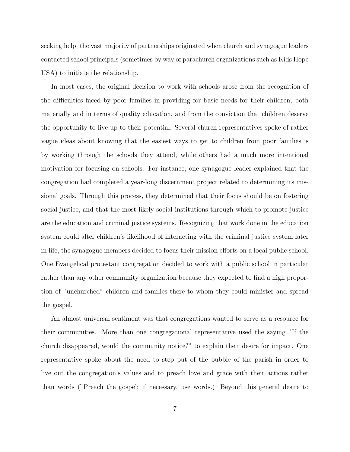seeking help, the vast majority of partnerships originated when church and synagogue leaders contacted school principals (sometimes by way of parachurch organizations such as [Kids Hope](http://www.kidshopeusa.org/home/) [USA\)](http://www.kidshopeusa.org/home/) to initiate the relationship.

In most cases, the original decision to work with schools arose from the recognition of the difficulties faced by poor families in providing for basic needs for their children, both materially and in terms of quality education, and from the conviction that children deserve the opportunity to live up to their potential. Several church representatives spoke of rather vague ideas about knowing that the easiest ways to get to children from poor families is by working through the schools they attend, while others had a much more intentional motivation for focusing on schools. For instance, one synagogue leader explained that the congregation had completed a year-long discernment project related to determining its missional goals. Through this process, they determined that their focus should be on fostering social justice, and that the most likely social institutions through which to promote justice are the education and criminal justice systems. Recognizing that work done in the education system could alter children's likelihood of interacting with the criminal justice system later in life, the synagogue members decided to focus their mission efforts on a local public school. One Evangelical protestant congregation decided to work with a public school in particular rather than any other community organization because they expected to find a high proportion of "unchurched" children and families there to whom they could minister and spread the gospel.

An almost universal sentiment was that congregations wanted to serve as a resource for their communities. More than one congregational representative used the saying "If the church disappeared, would the community notice?" to explain their desire for impact. One representative spoke about the need to step put of the bubble of the parish in order to live out the congregation's values and to preach love and grace with their actions rather than words ("Preach the gospel; if necessary, use words.) Beyond this general desire to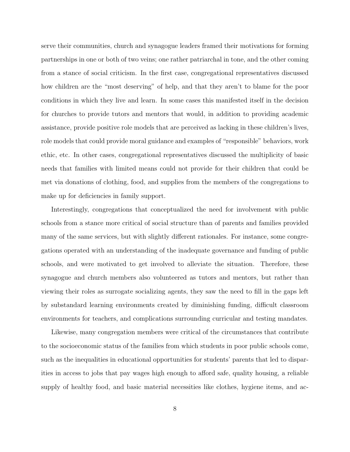serve their communities, church and synagogue leaders framed their motivations for forming partnerships in one or both of two veins; one rather patriarchal in tone, and the other coming from a stance of social criticism. In the first case, congregational representatives discussed how children are the "most deserving" of help, and that they aren't to blame for the poor conditions in which they live and learn. In some cases this manifested itself in the decision for churches to provide tutors and mentors that would, in addition to providing academic assistance, provide positive role models that are perceived as lacking in these children's lives, role models that could provide moral guidance and examples of "responsible" behaviors, work ethic, etc. In other cases, congregational representatives discussed the multiplicity of basic needs that families with limited means could not provide for their children that could be met via donations of clothing, food, and supplies from the members of the congregations to make up for deficiencies in family support.

Interestingly, congregations that conceptualized the need for involvement with public schools from a stance more critical of social structure than of parents and families provided many of the same services, but with slightly different rationales. For instance, some congregations operated with an understanding of the inadequate governance and funding of public schools, and were motivated to get involved to alleviate the situation. Therefore, these synagogue and church members also volunteered as tutors and mentors, but rather than viewing their roles as surrogate socializing agents, they saw the need to fill in the gaps left by substandard learning environments created by diminishing funding, difficult classroom environments for teachers, and complications surrounding curricular and testing mandates.

Likewise, many congregation members were critical of the circumstances that contribute to the socioeconomic status of the families from which students in poor public schools come, such as the inequalities in educational opportunities for students' parents that led to disparities in access to jobs that pay wages high enough to afford safe, quality housing, a reliable supply of healthy food, and basic material necessities like clothes, hygiene items, and ac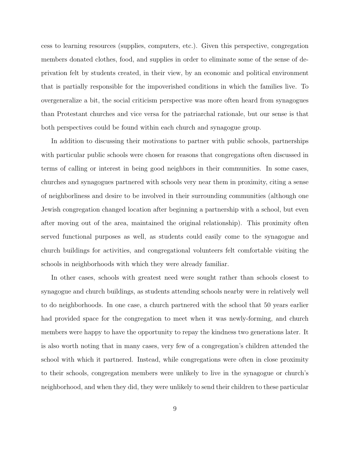cess to learning resources (supplies, computers, etc.). Given this perspective, congregation members donated clothes, food, and supplies in order to eliminate some of the sense of deprivation felt by students created, in their view, by an economic and political environment that is partially responsible for the impoverished conditions in which the families live. To overgeneralize a bit, the social criticism perspective was more often heard from synagogues than Protestant churches and vice versa for the patriarchal rationale, but our sense is that both perspectives could be found within each church and synagogue group.

In addition to discussing their motivations to partner with public schools, partnerships with particular public schools were chosen for reasons that congregations often discussed in terms of calling or interest in being good neighbors in their communities. In some cases, churches and synagogues partnered with schools very near them in proximity, citing a sense of neighborliness and desire to be involved in their surrounding communities (although one Jewish congregation changed location after beginning a partnership with a school, but even after moving out of the area, maintained the original relationship). This proximity often served functional purposes as well, as students could easily come to the synagogue and church buildings for activities, and congregational volunteers felt comfortable visiting the schools in neighborhoods with which they were already familiar.

In other cases, schools with greatest need were sought rather than schools closest to synagogue and church buildings, as students attending schools nearby were in relatively well to do neighborhoods. In one case, a church partnered with the school that 50 years earlier had provided space for the congregation to meet when it was newly-forming, and church members were happy to have the opportunity to repay the kindness two generations later. It is also worth noting that in many cases, very few of a congregation's children attended the school with which it partnered. Instead, while congregations were often in close proximity to their schools, congregation members were unlikely to live in the synagogue or church's neighborhood, and when they did, they were unlikely to send their children to these particular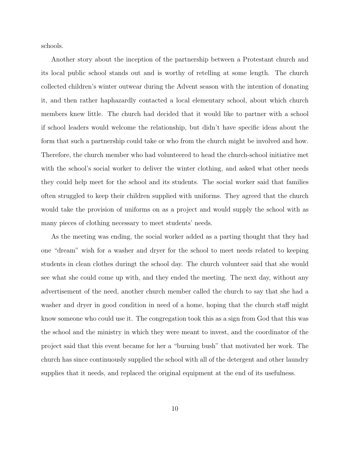schools.

Another story about the inception of the partnership between a Protestant church and its local public school stands out and is worthy of retelling at some length. The church collected children's winter outwear during the Advent season with the intention of donating it, and then rather haphazardly contacted a local elementary school, about which church members knew little. The church had decided that it would like to partner with a school if school leaders would welcome the relationship, but didn't have specific ideas about the form that such a partnership could take or who from the church might be involved and how. Therefore, the church member who had volunteered to head the church-school initiative met with the school's social worker to deliver the winter clothing, and asked what other needs they could help meet for the school and its students. The social worker said that families often struggled to keep their children supplied with uniforms. They agreed that the church would take the provision of uniforms on as a project and would supply the school with as many pieces of clothing necessary to meet students' needs.

As the meeting was ending, the social worker added as a parting thought that they had one "dream" wish for a washer and dryer for the school to meet needs related to keeping students in clean clothes duringt the school day. The church volunteer said that she would see what she could come up with, and they ended the meeting. The next day, without any advertisement of the need, another church member called the church to say that she had a washer and dryer in good condition in need of a home, hoping that the church staff might know someone who could use it. The congregation took this as a sign from God that this was the school and the ministry in which they were meant to invest, and the coordinator of the project said that this event became for her a "burning bush" that motivated her work. The church has since continuously supplied the school with all of the detergent and other laundry supplies that it needs, and replaced the original equipment at the end of its usefulness.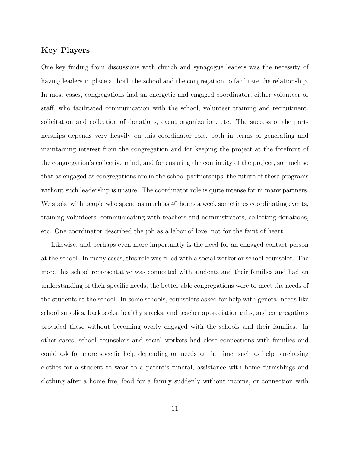### Key Players

One key finding from discussions with church and synagogue leaders was the necessity of having leaders in place at both the school and the congregation to facilitate the relationship. In most cases, congregations had an energetic and engaged coordinator, either volunteer or staff, who facilitated communication with the school, volunteer training and recruitment, solicitation and collection of donations, event organization, etc. The success of the partnerships depends very heavily on this coordinator role, both in terms of generating and maintaining interest from the congregation and for keeping the project at the forefront of the congregation's collective mind, and for ensuring the continuity of the project, so much so that as engaged as congregations are in the school partnerships, the future of these programs without such leadership is unsure. The coordinator role is quite intense for in many partners. We spoke with people who spend as much as 40 hours a week sometimes coordinating events, training volunteers, communicating with teachers and administrators, collecting donations, etc. One coordinator described the job as a labor of love, not for the faint of heart.

Likewise, and perhaps even more importantly is the need for an engaged contact person at the school. In many cases, this role was filled with a social worker or school counselor. The more this school representative was connected with students and their families and had an understanding of their specific needs, the better able congregations were to meet the needs of the students at the school. In some schools, counselors asked for help with general needs like school supplies, backpacks, healthy snacks, and teacher appreciation gifts, and congregations provided these without becoming overly engaged with the schools and their families. In other cases, school counselors and social workers had close connections with families and could ask for more specific help depending on needs at the time, such as help purchasing clothes for a student to wear to a parent's funeral, assistance with home furnishings and clothing after a home fire, food for a family suddenly without income, or connection with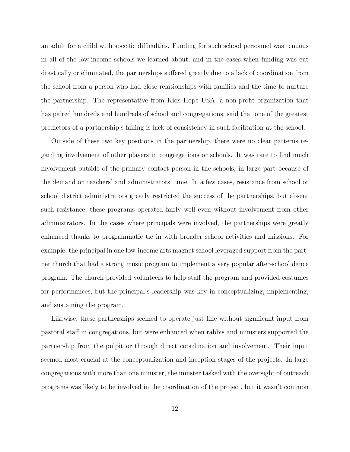an adult for a child with specific difficulties. Funding for such school personnel was tenuous in all of the low-income schools we learned about, and in the cases when funding was cut drastically or eliminated, the partnerships suffered greatly due to a lack of coordination from the school from a person who had close relationships with families and the time to nurture the partnership. The representative from Kids Hope USA, a non-profit organization that has paired hundreds and hundreds of school and congregations, said that one of the greatest predictors of a partnership's failing is lack of consistency in such facilitation at the school.

Outside of these two key positions in the partnership, there were no clear patterns regarding involvement of other players in congregations or schools. It was rare to find much involvement outside of the primary contact person in the schools, in large part because of the demand on teachers' and administrators' time. In a few cases, resistance from school or school district administrators greatly restricted the success of the partnerships, but absent such resistance, these programs operated fairly well even without involvement from other administrators. In the cases where principals were involved, the partnerships were greatly enhanced thanks to programmatic tie in with broader school activities and missions. For example, the principal in one low-income arts magnet school leveraged support from the partner church that had a strong music program to implement a very popular after-school dance program. The church provided volunteers to help staff the program and provided costumes for performances, but the principal's leadership was key in conceptualizing, implementing, and sustaining the program.

Likewise, these partnerships seemed to operate just fine without significant input from pastoral staff in congregations, but were enhanced when rabbis and ministers supported the partnership from the pulpit or through direct coordination and involvement. Their input seemed most crucial at the conceptualization and inception stages of the projects. In large congregations with more than one minister, the minster tasked with the oversight of outreach programs was likely to be involved in the coordination of the project, but it wasn't common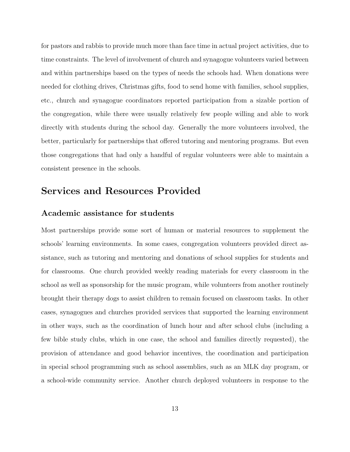for pastors and rabbis to provide much more than face time in actual project activities, due to time constraints. The level of involvement of church and synagogue volunteers varied between and within partnerships based on the types of needs the schools had. When donations were needed for clothing drives, Christmas gifts, food to send home with families, school supplies, etc., church and synagogue coordinators reported participation from a sizable portion of the congregation, while there were usually relatively few people willing and able to work directly with students during the school day. Generally the more volunteers involved, the better, particularly for partnerships that offered tutoring and mentoring programs. But even those congregations that had only a handful of regular volunteers were able to maintain a consistent presence in the schools.

## Services and Resources Provided

### Academic assistance for students

<span id="page-12-0"></span>Most partnerships provide some sort of human or material resources to supplement the schools' learning environments. In some cases, congregation volunteers provided direct assistance, such as tutoring and mentoring and donations of school supplies for students and for classrooms. One church provided weekly reading materials for every classroom in the school as well as sponsorship for the music program, while volunteers from another routinely brought their therapy dogs to assist children to remain focused on classroom tasks. In other cases, synagogues and churches provided services that supported the learning environment in other ways, such as the coordination of lunch hour and after school clubs (including a few bible study clubs, which in one case, the school and families directly requested), the provision of attendance and good behavior incentives, the coordination and participation in special school programming such as school assemblies, such as an MLK day program, or a school-wide community service. Another church deployed volunteers in response to the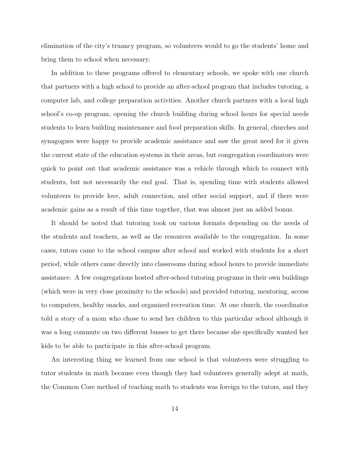elimination of the city's truancy program, so volunteers would to go the students' home and bring them to school when necessary.

In addition to these programs offered to elementary schools, we spoke with one church that partners with a high school to provide an after-school program that includes tutoring, a computer lab, and college preparation activities. Another church partners with a local high school's co-op program, opening the church building during school hours for special needs students to learn building maintenance and food preparation skills. In general, churches and synagogues were happy to provide academic assistance and saw the great need for it given the current state of the education systems in their areas, but congregation coordinators were quick to point out that academic assistance was a vehicle through which to connect with students, but not necessarily the end goal. That is, spending time with students allowed volunteers to provide love, adult connection, and other social support, and if there were academic gains as a result of this time together, that was almost just an added bonus.

It should be noted that tutoring took on various formats depending on the needs of the students and teachers, as well as the resources available to the congregation. In some cases, tutors came to the school campus after school and worked with students for a short period, while others came directly into classrooms during school hours to provide immediate assistance. A few congregations hosted after-school tutoring programs in their own buildings (which were in very close proximity to the schools) and provided tutoring, mentoring, access to computers, healthy snacks, and organized recreation time. At one church, the coordinator told a story of a mom who chose to send her children to this particular school although it was a long commute on two different busses to get there because she specifically wanted her kids to be able to participate in this after-school program.

An interesting thing we learned from one school is that volunteers were struggling to tutor students in math because even though they had volunteers generally adept at math, the Common Core method of teaching math to students was foreign to the tutors, and they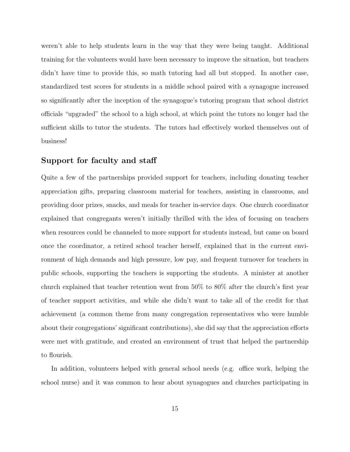weren't able to help students learn in the way that they were being taught. Additional training for the volunteers would have been necessary to improve the situation, but teachers didn't have time to provide this, so math tutoring had all but stopped. In another case, standardized test scores for students in a middle school paired with a synagogue increased so significantly after the inception of the synagogue's tutoring program that school district officials "upgraded" the school to a high school, at which point the tutors no longer had the sufficient skills to tutor the students. The tutors had effectively worked themselves out of business!

### Support for faculty and staff

Quite a few of the partnerships provided support for teachers, including donating teacher appreciation gifts, preparing classroom material for teachers, assisting in classrooms, and providing door prizes, snacks, and meals for teacher in-service days. One church coordinator explained that congregants weren't initially thrilled with the idea of focusing on teachers when resources could be channeled to more support for students instead, but came on board once the coordinator, a retired school teacher herself, explained that in the current environment of high demands and high pressure, low pay, and frequent turnover for teachers in public schools, supporting the teachers is supporting the students. A minister at another church explained that teacher retention went from 50% to 80% after the church's first year of teacher support activities, and while she didn't want to take all of the credit for that achievement (a common theme from many congregation representatives who were humble about their congregations' significant contributions), she did say that the appreciation efforts were met with gratitude, and created an environment of trust that helped the partnership to flourish.

In addition, volunteers helped with general school needs (e.g. office work, helping the school nurse) and it was common to hear about synagogues and churches participating in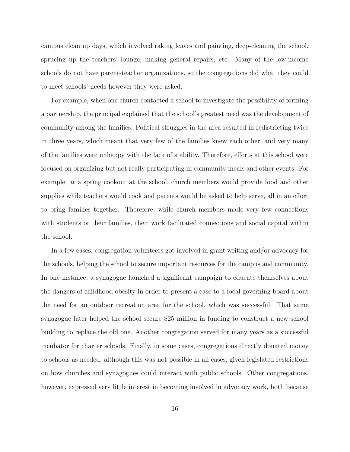campus clean up days, which involved raking leaves and painting, deep-cleaning the school, sprucing up the teachers' lounge, making general repairs, etc. Many of the low-income schools do not have parent-teacher organizations, so the congregations did what they could to meet schools' needs however they were asked.

For example, when one church contacted a school to investigate the possibility of forming a partnership, the principal explained that the school's greatest need was the development of community among the families. Political struggles in the area resulted in redistricting twice in three years, which meant that very few of the families knew each other, and very many of the families were unhappy with the lack of stability. Therefore, efforts at this school were focused on organizing but not really participating in community meals and other events. For example, at a spring cookout at the school, church members would provide food and other supplies while teachers would cook and parents would be asked to help serve, all in an effort to bring families together. Therefore, while church members made very few connections with students or their families, their work facilitated connections and social capital within the school.

In a few cases, congregation volunteers got involved in grant writing and/or advocacy for the schools, helping the school to secure important resources for the campus and community. In one instance, a synagogue launched a significant campaign to educate themselves about the dangers of childhood obesity in order to present a case to a local governing board about the need for an outdoor recreation area for the school, which was successful. That same synagogue later helped the school secure \$25 million in funding to construct a new school building to replace the old one. Another congregation served for many years as a successful incubator for charter schools. Finally, in some cases, congregations directly donated money to schools as needed, although this was not possible in all cases, given legislated restrictions on how churches and synagogues could interact with public schools. Other congregations, however, expressed very little interest in becoming involved in advocacy work, both because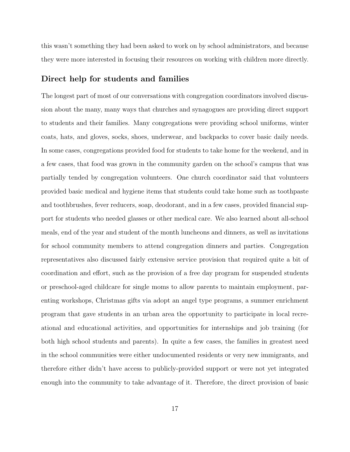this wasn't something they had been asked to work on by school administrators, and because they were more interested in focusing their resources on working with children more directly.

### Direct help for students and families

The longest part of most of our conversations with congregation coordinators involved discussion about the many, many ways that churches and synagogues are providing direct support to students and their families. Many congregations were providing school uniforms, winter coats, hats, and gloves, socks, shoes, underwear, and backpacks to cover basic daily needs. In some cases, congregations provided food for students to take home for the weekend, and in a few cases, that food was grown in the community garden on the school's campus that was partially tended by congregation volunteers. One church coordinator said that volunteers provided basic medical and hygiene items that students could take home such as toothpaste and toothbrushes, fever reducers, soap, deodorant, and in a few cases, provided financial support for students who needed glasses or other medical care. We also learned about all-school meals, end of the year and student of the month luncheons and dinners, as well as invitations for school community members to attend congregation dinners and parties. Congregation representatives also discussed fairly extensive service provision that required quite a bit of coordination and effort, such as the provision of a free day program for suspended students or preschool-aged childcare for single moms to allow parents to maintain employment, parenting workshops, Christmas gifts via adopt an angel type programs, a summer enrichment program that gave students in an urban area the opportunity to participate in local recreational and educational activities, and opportunities for internships and job training (for both high school students and parents). In quite a few cases, the families in greatest need in the school communities were either undocumented residents or very new immigrants, and therefore either didn't have access to publicly-provided support or were not yet integrated enough into the community to take advantage of it. Therefore, the direct provision of basic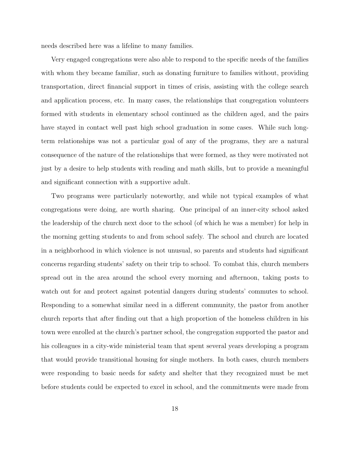needs described here was a lifeline to many families.

Very engaged congregations were also able to respond to the specific needs of the families with whom they became familiar, such as donating furniture to families without, providing transportation, direct financial support in times of crisis, assisting with the college search and application process, etc. In many cases, the relationships that congregation volunteers formed with students in elementary school continued as the children aged, and the pairs have stayed in contact well past high school graduation in some cases. While such longterm relationships was not a particular goal of any of the programs, they are a natural consequence of the nature of the relationships that were formed, as they were motivated not just by a desire to help students with reading and math skills, but to provide a meaningful and significant connection with a supportive adult.

Two programs were particularly noteworthy, and while not typical examples of what congregations were doing, are worth sharing. One principal of an inner-city school asked the leadership of the church next door to the school (of which he was a member) for help in the morning getting students to and from school safely. The school and church are located in a neighborhood in which violence is not unusual, so parents and students had significant concerns regarding students' safety on their trip to school. To combat this, church members spread out in the area around the school every morning and afternoon, taking posts to watch out for and protect against potential dangers during students' commutes to school. Responding to a somewhat similar need in a different community, the pastor from another church reports that after finding out that a high proportion of the homeless children in his town were enrolled at the church's partner school, the congregation supported the pastor and his colleagues in a city-wide ministerial team that spent several years developing a program that would provide transitional housing for single mothers. In both cases, church members were responding to basic needs for safety and shelter that they recognized must be met before students could be expected to excel in school, and the commitments were made from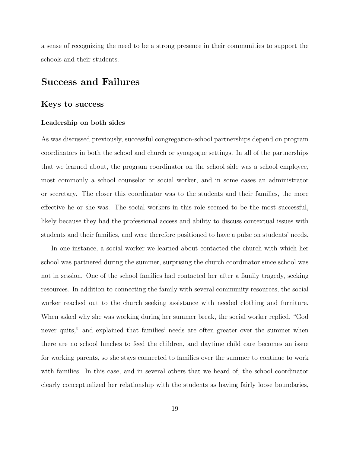a sense of recognizing the need to be a strong presence in their communities to support the schools and their students.

### Success and Failures

### Keys to success

### <span id="page-18-0"></span>Leadership on both sides

As was discussed previously, successful congregation-school partnerships depend on program coordinators in both the school and church or synagogue settings. In all of the partnerships that we learned about, the program coordinator on the school side was a school employee, most commonly a school counselor or social worker, and in some cases an administrator or secretary. The closer this coordinator was to the students and their families, the more effective he or she was. The social workers in this role seemed to be the most successful, likely because they had the professional access and ability to discuss contextual issues with students and their families, and were therefore positioned to have a pulse on students' needs.

In one instance, a social worker we learned about contacted the church with which her school was partnered during the summer, surprising the church coordinator since school was not in session. One of the school families had contacted her after a family tragedy, seeking resources. In addition to connecting the family with several community resources, the social worker reached out to the church seeking assistance with needed clothing and furniture. When asked why she was working during her summer break, the social worker replied, "God never quits," and explained that families' needs are often greater over the summer when there are no school lunches to feed the children, and daytime child care becomes an issue for working parents, so she stays connected to families over the summer to continue to work with families. In this case, and in several others that we heard of, the school coordinator clearly conceptualized her relationship with the students as having fairly loose boundaries,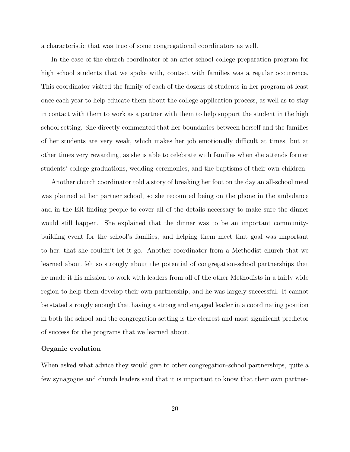a characteristic that was true of some congregational coordinators as well.

In the case of the church coordinator of an after-school college preparation program for high school students that we spoke with, contact with families was a regular occurrence. This coordinator visited the family of each of the dozens of students in her program at least once each year to help educate them about the college application process, as well as to stay in contact with them to work as a partner with them to help support the student in the high school setting. She directly commented that her boundaries between herself and the families of her students are very weak, which makes her job emotionally difficult at times, but at other times very rewarding, as she is able to celebrate with families when she attends former students' college graduations, wedding ceremonies, and the baptisms of their own children.

Another church coordinator told a story of breaking her foot on the day an all-school meal was planned at her partner school, so she recounted being on the phone in the ambulance and in the ER finding people to cover all of the details necessary to make sure the dinner would still happen. She explained that the dinner was to be an important communitybuilding event for the school's families, and helping them meet that goal was important to her, that she couldn't let it go. Another coordinator from a Methodist church that we learned about felt so strongly about the potential of congregation-school partnerships that he made it his mission to work with leaders from all of the other Methodists in a fairly wide region to help them develop their own partnership, and he was largely successful. It cannot be stated strongly enough that having a strong and engaged leader in a coordinating position in both the school and the congregation setting is the clearest and most significant predictor of success for the programs that we learned about.

### Organic evolution

When asked what advice they would give to other congregation-school partnerships, quite a few synagogue and church leaders said that it is important to know that their own partner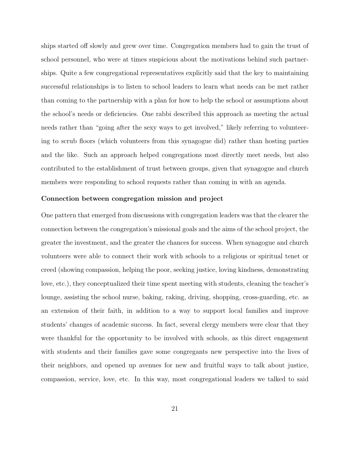ships started off slowly and grew over time. Congregation members had to gain the trust of school personnel, who were at times suspicious about the motivations behind such partnerships. Quite a few congregational representatives explicitly said that the key to maintaining successful relationships is to listen to school leaders to learn what needs can be met rather than coming to the partnership with a plan for how to help the school or assumptions about the school's needs or deficiencies. One rabbi described this approach as meeting the actual needs rather than "going after the sexy ways to get involved," likely referring to volunteering to scrub floors (which volunteers from this synagogue did) rather than hosting parties and the like. Such an approach helped congregations most directly meet needs, but also contributed to the establishment of trust between groups, given that synagogue and church members were responding to school requests rather than coming in with an agenda.

### Connection between congregation mission and project

One pattern that emerged from discussions with congregation leaders was that the clearer the connection between the congregation's missional goals and the aims of the school project, the greater the investment, and the greater the chances for success. When synagogue and church volunteers were able to connect their work with schools to a religious or spiritual tenet or creed (showing compassion, helping the poor, seeking justice, loving kindness, demonstrating love, etc.), they conceptualized their time spent meeting with students, cleaning the teacher's lounge, assisting the school nurse, baking, raking, driving, shopping, cross-guarding, etc. as an extension of their faith, in addition to a way to support local families and improve students' changes of academic success. In fact, several clergy members were clear that they were thankful for the opportunity to be involved with schools, as this direct engagement with students and their families gave some congregants new perspective into the lives of their neighbors, and opened up avenues for new and fruitful ways to talk about justice, compassion, service, love, etc. In this way, most congregational leaders we talked to said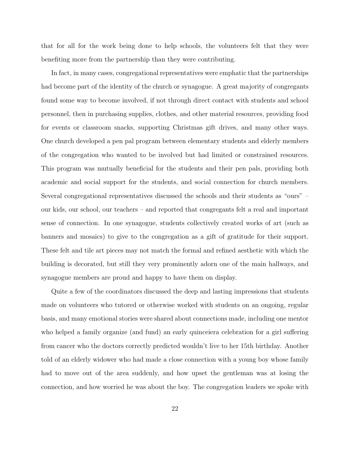that for all for the work being done to help schools, the volunteers felt that they were benefiting more from the partnership than they were contributing.

In fact, in many cases, congregational representatives were emphatic that the partnerships had become part of the identity of the church or synagogue. A great majority of congregants found some way to become involved, if not through direct contact with students and school personnel, then in purchasing supplies, clothes, and other material resources, providing food for events or classroom snacks, supporting Christmas gift drives, and many other ways. One church developed a pen pal program between elementary students and elderly members of the congregation who wanted to be involved but had limited or constrained resources. This program was mutually beneficial for the students and their pen pals, providing both academic and social support for the students, and social connection for church members. Several congregational representatives discussed the schools and their students as "ours" – our kids, our school, our teachers – and reported that congregants felt a real and important sense of connection. In one synagogue, students collectively created works of art (such as banners and mosaics) to give to the congregation as a gift of gratitude for their support. These felt and tile art pieces may not match the formal and refined aesthetic with which the building is decorated, but still they very prominently adorn one of the main hallways, and synagogue members are proud and happy to have them on display.

Quite a few of the coordinators discussed the deep and lasting impressions that students made on volunteers who tutored or otherwise worked with students on an ongoing, regular basis, and many emotional stories were shared about connections made, including one mentor who helped a family organize (and fund) an early quinceiera celebration for a girl suffering from cancer who the doctors correctly predicted wouldn't live to her 15th birthday. Another told of an elderly widower who had made a close connection with a young boy whose family had to move out of the area suddenly, and how upset the gentleman was at losing the connection, and how worried he was about the boy. The congregation leaders we spoke with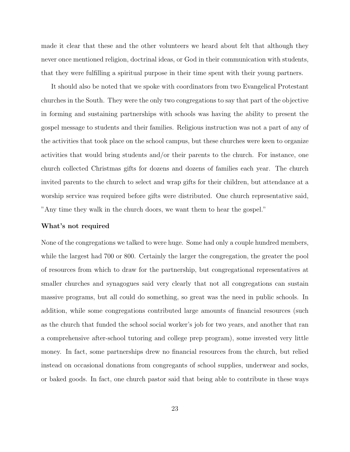made it clear that these and the other volunteers we heard about felt that although they never once mentioned religion, doctrinal ideas, or God in their communication with students, that they were fulfilling a spiritual purpose in their time spent with their young partners.

It should also be noted that we spoke with coordinators from two Evangelical Protestant churches in the South. They were the only two congregations to say that part of the objective in forming and sustaining partnerships with schools was having the ability to present the gospel message to students and their families. Religious instruction was not a part of any of the activities that took place on the school campus, but these churches were keen to organize activities that would bring students and/or their parents to the church. For instance, one church collected Christmas gifts for dozens and dozens of families each year. The church invited parents to the church to select and wrap gifts for their children, but attendance at a worship service was required before gifts were distributed. One church representative said, "Any time they walk in the church doors, we want them to hear the gospel."

#### What's not required

None of the congregations we talked to were huge. Some had only a couple hundred members, while the largest had 700 or 800. Certainly the larger the congregation, the greater the pool of resources from which to draw for the partnership, but congregational representatives at smaller churches and synagogues said very clearly that not all congregations can sustain massive programs, but all could do something, so great was the need in public schools. In addition, while some congregations contributed large amounts of financial resources (such as the church that funded the school social worker's job for two years, and another that ran a comprehensive after-school tutoring and college prep program), some invested very little money. In fact, some partnerships drew no financial resources from the church, but relied instead on occasional donations from congregants of school supplies, underwear and socks, or baked goods. In fact, one church pastor said that being able to contribute in these ways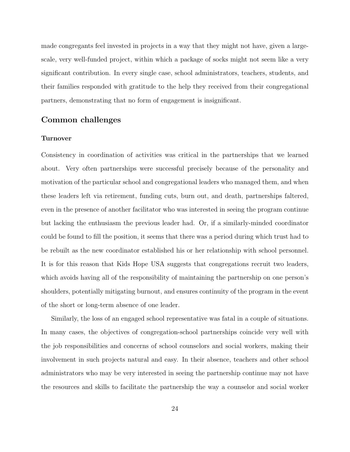made congregants feel invested in projects in a way that they might not have, given a largescale, very well-funded project, within which a package of socks might not seem like a very significant contribution. In every single case, school administrators, teachers, students, and their families responded with gratitude to the help they received from their congregational partners, demonstrating that no form of engagement is insignificant.

### Common challenges

#### <span id="page-23-0"></span>Turnover

Consistency in coordination of activities was critical in the partnerships that we learned about. Very often partnerships were successful precisely because of the personality and motivation of the particular school and congregational leaders who managed them, and when these leaders left via retirement, funding cuts, burn out, and death, partnerships faltered, even in the presence of another facilitator who was interested in seeing the program continue but lacking the enthusiasm the previous leader had. Or, if a similarly-minded coordinator could be found to fill the position, it seems that there was a period during which trust had to be rebuilt as the new coordinator established his or her relationship with school personnel. It is for this reason that Kids Hope USA suggests that congregations recruit two leaders, which avoids having all of the responsibility of maintaining the partnership on one person's shoulders, potentially mitigating burnout, and ensures continuity of the program in the event of the short or long-term absence of one leader.

Similarly, the loss of an engaged school representative was fatal in a couple of situations. In many cases, the objectives of congregation-school partnerships coincide very well with the job responsibilities and concerns of school counselors and social workers, making their involvement in such projects natural and easy. In their absence, teachers and other school administrators who may be very interested in seeing the partnership continue may not have the resources and skills to facilitate the partnership the way a counselor and social worker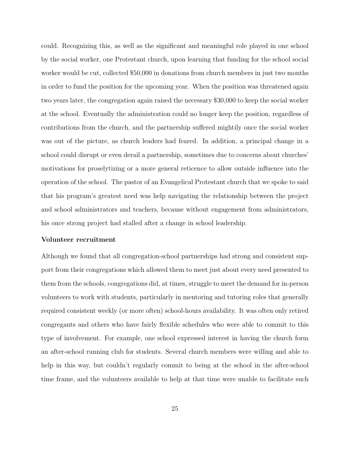could. Recognizing this, as well as the significant and meaningful role played in one school by the social worker, one Protestant church, upon learning that funding for the school social worker would be cut, collected \$50,000 in donations from church members in just two months in order to fund the position for the upcoming year. When the position was threatened again two years later, the congregation again raised the necessary \$30,000 to keep the social worker at the school. Eventually the administration could no longer keep the position, regardless of contributions from the church, and the partnership suffered mightily once the social worker was out of the picture, as church leaders had feared. In addition, a principal change in a school could disrupt or even derail a partnership, sometimes due to concerns about churches' motivations for proselytizing or a more general reticence to allow outside influence into the operation of the school. The pastor of an Evangelical Protestant church that we spoke to said that his program's greatest need was help navigating the relationship between the project and school administrators and teachers, because without engagement from administrators, his once strong project had stalled after a change in school leadership.

#### Volunteer recruitment

Although we found that all congregation-school partnerships had strong and consistent support from their congregations which allowed them to meet just about every need presented to them from the schools, congregations did, at times, struggle to meet the demand for in-person volunteers to work with students, particularly in mentoring and tutoring roles that generally required consistent weekly (or more often) school-hours availability. It was often only retired congregants and others who have fairly flexible schedules who were able to commit to this type of involvement. For example, one school expressed interest in having the church form an after-school running club for students. Several church members were willing and able to help in this way, but couldn't regularly commit to being at the school in the after-school time frame, and the volunteers available to help at that time were unable to facilitate such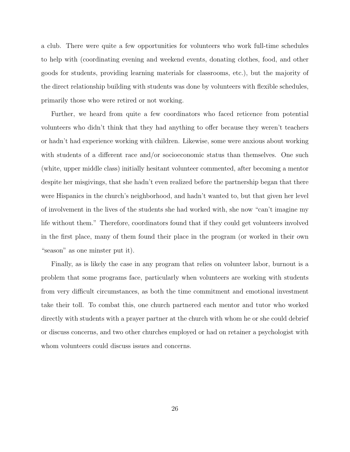a club. There were quite a few opportunities for volunteers who work full-time schedules to help with (coordinating evening and weekend events, donating clothes, food, and other goods for students, providing learning materials for classrooms, etc.), but the majority of the direct relationship building with students was done by volunteers with flexible schedules, primarily those who were retired or not working.

Further, we heard from quite a few coordinators who faced reticence from potential volunteers who didn't think that they had anything to offer because they weren't teachers or hadn't had experience working with children. Likewise, some were anxious about working with students of a different race and/or socioeconomic status than themselves. One such (white, upper middle class) initially hesitant volunteer commented, after becoming a mentor despite her misgivings, that she hadn't even realized before the partnership began that there were Hispanics in the church's neighborhood, and hadn't wanted to, but that given her level of involvement in the lives of the students she had worked with, she now "can't imagine my life without them." Therefore, coordinators found that if they could get volunteers involved in the first place, many of them found their place in the program (or worked in their own "season" as one minster put it).

Finally, as is likely the case in any program that relies on volunteer labor, burnout is a problem that some programs face, particularly when volunteers are working with students from very difficult circumstances, as both the time commitment and emotional investment take their toll. To combat this, one church partnered each mentor and tutor who worked directly with students with a prayer partner at the church with whom he or she could debrief or discuss concerns, and two other churches employed or had on retainer a psychologist with whom volunteers could discuss issues and concerns.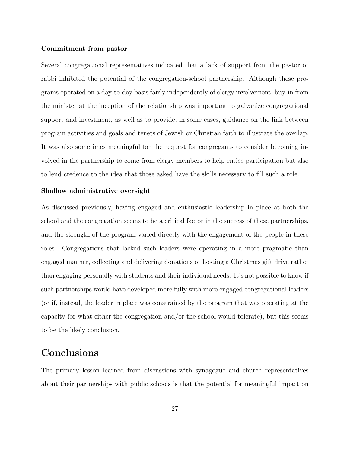### Commitment from pastor

Several congregational representatives indicated that a lack of support from the pastor or rabbi inhibited the potential of the congregation-school partnership. Although these programs operated on a day-to-day basis fairly independently of clergy involvement, buy-in from the minister at the inception of the relationship was important to galvanize congregational support and investment, as well as to provide, in some cases, guidance on the link between program activities and goals and tenets of Jewish or Christian faith to illustrate the overlap. It was also sometimes meaningful for the request for congregants to consider becoming involved in the partnership to come from clergy members to help entice participation but also to lend credence to the idea that those asked have the skills necessary to fill such a role.

#### Shallow administrative oversight

As discussed previously, having engaged and enthusiastic leadership in place at both the school and the congregation seems to be a critical factor in the success of these partnerships, and the strength of the program varied directly with the engagement of the people in these roles. Congregations that lacked such leaders were operating in a more pragmatic than engaged manner, collecting and delivering donations or hosting a Christmas gift drive rather than engaging personally with students and their individual needs. It's not possible to know if such partnerships would have developed more fully with more engaged congregational leaders (or if, instead, the leader in place was constrained by the program that was operating at the capacity for what either the congregation and/or the school would tolerate), but this seems to be the likely conclusion.

## Conclusions

The primary lesson learned from discussions with synagogue and church representatives about their partnerships with public schools is that the potential for meaningful impact on